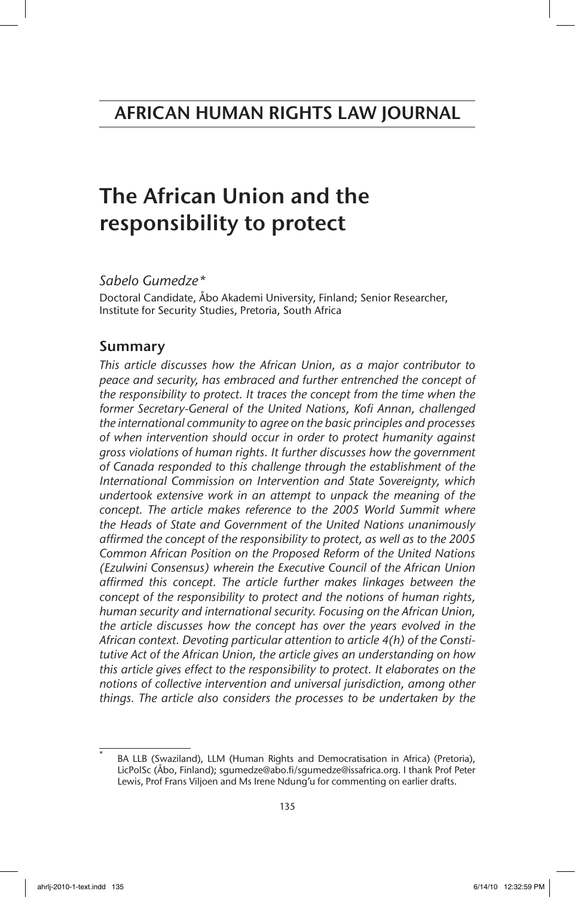# The African Union and the responsibility to protect

*Sabelo Gumedze\**

Doctoral Candidate, Åbo Akademi University, Finland; Senior Researcher, Institute for Security Studies, Pretoria, South Africa

# Summary

*This article discusses how the African Union, as a major contributor to peace and security, has embraced and further entrenched the concept of the responsibility to protect. It traces the concept from the time when the former Secretary-General of the United Nations, Kofi Annan, challenged the international community to agree on the basic principles and processes of when intervention should occur in order to protect humanity against gross violations of human rights. It further discusses how the government of Canada responded to this challenge through the establishment of the International Commission on Intervention and State Sovereignty, which undertook extensive work in an attempt to unpack the meaning of the concept. The article makes reference to the 2005 World Summit where the Heads of State and Government of the United Nations unanimously affirmed the concept of the responsibility to protect, as well as to the 2005 Common African Position on the Proposed Reform of the United Nations (Ezulwini Consensus) wherein the Executive Council of the African Union affirmed this concept. The article further makes linkages between the concept of the responsibility to protect and the notions of human rights, human security and international security. Focusing on the African Union, the article discusses how the concept has over the years evolved in the African context. Devoting particular attention to article 4(h) of the Constitutive Act of the African Union, the article gives an understanding on how this article gives effect to the responsibility to protect. It elaborates on the notions of collective intervention and universal jurisdiction, among other things. The article also considers the processes to be undertaken by the*

BA LLB (Swaziland), LLM (Human Rights and Democratisation in Africa) (Pretoria), LicPolSc (Åbo, Finland); sgumedze@abo.fi/sgumedze@issafrica.org. I thank Prof Peter Lewis, Prof Frans Viljoen and Ms Irene Ndung'u for commenting on earlier drafts.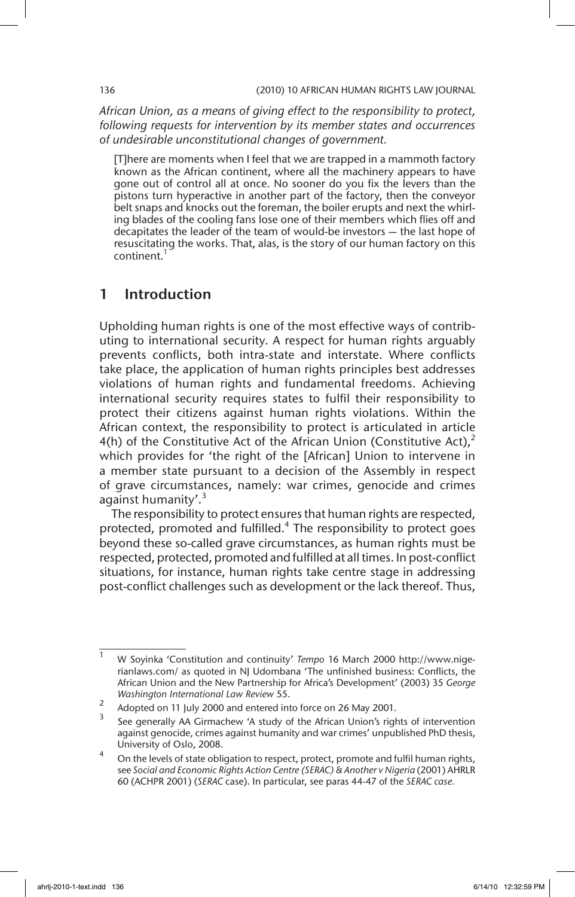*African Union, as a means of giving effect to the responsibility to protect, following requests for intervention by its member states and occurrences of undesirable unconstitutional changes of government.*

[T]here are moments when I feel that we are trapped in a mammoth factory known as the African continent, where all the machinery appears to have gone out of control all at once. No sooner do you fix the levers than the pistons turn hyperactive in another part of the factory, then the conveyor belt snaps and knocks out the foreman, the boiler erupts and next the whirling blades of the cooling fans lose one of their members which flies off and decapitates the leader of the team of would-be investors — the last hope of resuscitating the works. That, alas, is the story of our human factory on this continent.

# 1 Introduction

Upholding human rights is one of the most effective ways of contributing to international security. A respect for human rights arguably prevents conflicts, both intra-state and interstate. Where conflicts take place, the application of human rights principles best addresses violations of human rights and fundamental freedoms. Achieving international security requires states to fulfil their responsibility to protect their citizens against human rights violations. Within the African context, the responsibility to protect is articulated in article 4(h) of the Constitutive Act of the African Union (Constitutive Act), $^2$ which provides for 'the right of the [African] Union to intervene in a member state pursuant to a decision of the Assembly in respect of grave circumstances, namely: war crimes, genocide and crimes against humanity'. $3$ 

The responsibility to protect ensures that human rights are respected, protected, promoted and fulfilled.<sup>4</sup> The responsibility to protect goes beyond these so-called grave circumstances, as human rights must be respected, protected, promoted and fulfilled at all times. In post-conflict situations, for instance, human rights take centre stage in addressing post-conflict challenges such as development or the lack thereof. Thus,

<sup>1</sup> W Soyinka 'Constitution and continuity' *Tempo* 16 March 2000 http://www.nigerianlaws.com/ as quoted in NJ Udombana 'The unfinished business: Conflicts, the African Union and the New Partnership for Africa's Development' (2003) 35 *George Washington International Law Review* 55.

<sup>&</sup>lt;sup>2</sup> Adopted on 11 July 2000 and entered into force on 26 May 2001.

See generally AA Girmachew 'A study of the African Union's rights of intervention against genocide, crimes against humanity and war crimes' unpublished PhD thesis, University of Oslo, 2008.

On the levels of state obligation to respect, protect, promote and fulfil human rights, see *Social and Economic Rights Action Centre (SERAC) & Another v Nigeria* (2001) AHRLR 60 (ACHPR 2001) (*SERAC* case). In particular, see paras 44-47 of the *SERAC case.*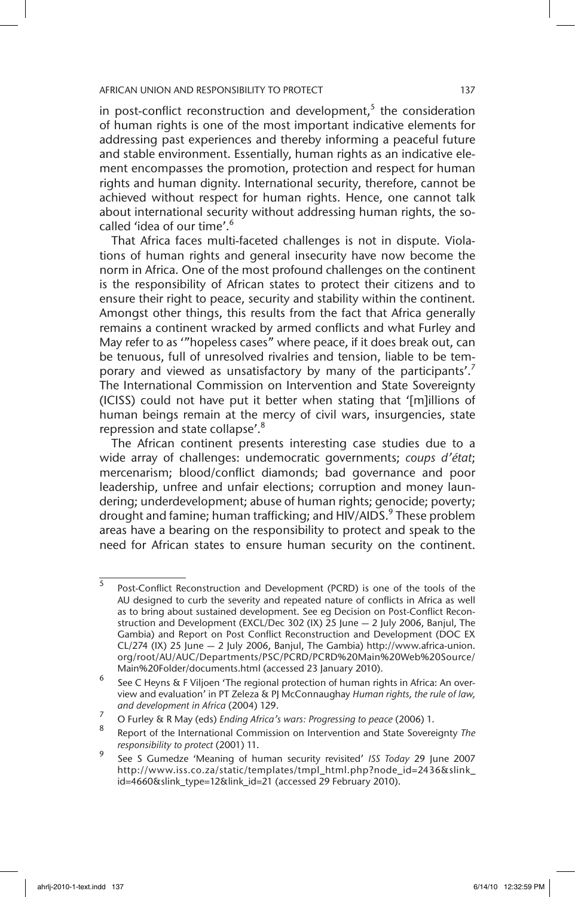in post-conflict reconstruction and development, $<sup>5</sup>$  the consideration</sup> of human rights is one of the most important indicative elements for addressing past experiences and thereby informing a peaceful future and stable environment. Essentially, human rights as an indicative element encompasses the promotion, protection and respect for human rights and human dignity. International security, therefore, cannot be achieved without respect for human rights. Hence, one cannot talk about international security without addressing human rights, the socalled 'idea of our time'.<sup>6</sup>

That Africa faces multi-faceted challenges is not in dispute. Violations of human rights and general insecurity have now become the norm in Africa. One of the most profound challenges on the continent is the responsibility of African states to protect their citizens and to ensure their right to peace, security and stability within the continent. Amongst other things, this results from the fact that Africa generally remains a continent wracked by armed conflicts and what Furley and May refer to as '"hopeless cases" where peace, if it does break out, can be tenuous, full of unresolved rivalries and tension, liable to be temporary and viewed as unsatisfactory by many of the participants'.<sup>7</sup> The International Commission on Intervention and State Sovereignty (ICISS) could not have put it better when stating that '[m]illions of human beings remain at the mercy of civil wars, insurgencies, state repression and state collapse'.8

The African continent presents interesting case studies due to a wide array of challenges: undemocratic governments; *coups d'état*; mercenarism; blood/conflict diamonds; bad governance and poor leadership, unfree and unfair elections; corruption and money laundering; underdevelopment; abuse of human rights; genocide; poverty; drought and famine; human trafficking; and HIV/AIDS.<sup>9</sup> These problem areas have a bearing on the responsibility to protect and speak to the need for African states to ensure human security on the continent.

<sup>5</sup> Post-Conflict Reconstruction and Development (PCRD) is one of the tools of the AU designed to curb the severity and repeated nature of conflicts in Africa as well as to bring about sustained development. See eg Decision on Post-Conflict Reconstruction and Development (EXCL/Dec 302 (IX) 25 June — 2 July 2006, Banjul, The Gambia) and Report on Post Conflict Reconstruction and Development (DOC EX CL/274 (IX) 25 June — 2 July 2006, Banjul, The Gambia) http://www.africa-union. org/root/AU/AUC/Departments/PSC/PCRD/PCRD%20Main%20Web%20Source/ Main%20Folder/documents.html (accessed 23 January 2010).

 $6$  See C Heyns & F Viljoen 'The regional protection of human rights in Africa: An overview and evaluation' in PT Zeleza & PJ McConnaughay *Human rights, the rule of law, and development in Africa* (2004) 129.

<sup>7</sup> O Furley & R May (eds) *Ending Africa's wars: Progressing to peace* (2006) 1.

<sup>8</sup> Report of the International Commission on Intervention and State Sovereignty *The responsibility to protect* (2001) 11.

<sup>9</sup> See S Gumedze 'Meaning of human security revisited' *ISS Today* 29 June 2007 http://www.iss.co.za/static/templates/tmpl\_html.php?node\_id=2436&slink\_ id=4660&slink\_type=12&link\_id=21 (accessed 29 February 2010).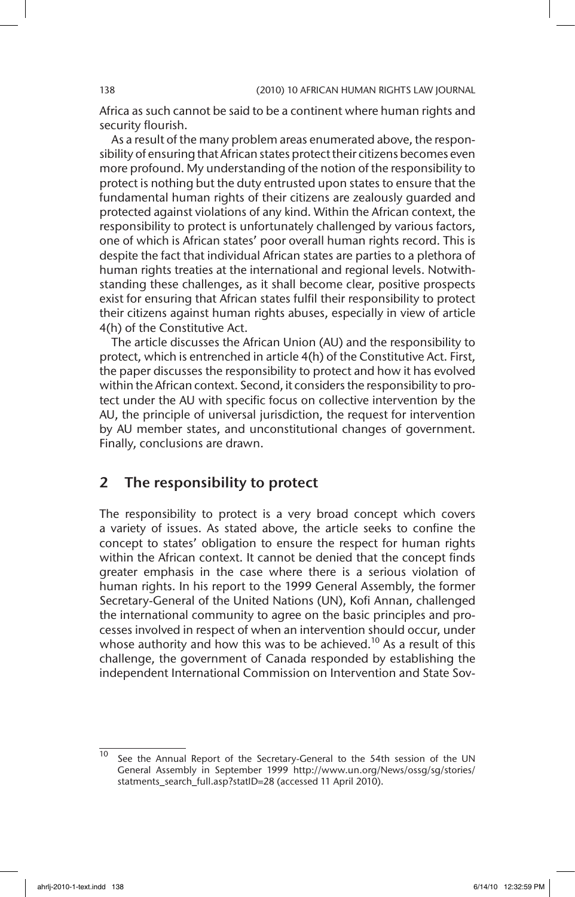Africa as such cannot be said to be a continent where human rights and security flourish.

As a result of the many problem areas enumerated above, the responsibility of ensuring that African states protect their citizens becomes even more profound. My understanding of the notion of the responsibility to protect is nothing but the duty entrusted upon states to ensure that the fundamental human rights of their citizens are zealously guarded and protected against violations of any kind. Within the African context, the responsibility to protect is unfortunately challenged by various factors, one of which is African states' poor overall human rights record. This is despite the fact that individual African states are parties to a plethora of human rights treaties at the international and regional levels. Notwithstanding these challenges, as it shall become clear, positive prospects exist for ensuring that African states fulfil their responsibility to protect their citizens against human rights abuses, especially in view of article 4(h) of the Constitutive Act.

The article discusses the African Union (AU) and the responsibility to protect, which is entrenched in article 4(h) of the Constitutive Act. First, the paper discusses the responsibility to protect and how it has evolved within the African context. Second, it considers the responsibility to protect under the AU with specific focus on collective intervention by the AU, the principle of universal jurisdiction, the request for intervention by AU member states, and unconstitutional changes of government. Finally, conclusions are drawn.

# 2 The responsibility to protect

The responsibility to protect is a very broad concept which covers a variety of issues. As stated above, the article seeks to confine the concept to states' obligation to ensure the respect for human rights within the African context. It cannot be denied that the concept finds greater emphasis in the case where there is a serious violation of human rights. In his report to the 1999 General Assembly, the former Secretary-General of the United Nations (UN), Kofi Annan, challenged the international community to agree on the basic principles and processes involved in respect of when an intervention should occur, under whose authority and how this was to be achieved.<sup>10</sup> As a result of this challenge, the government of Canada responded by establishing the independent International Commission on Intervention and State Sov-

See the Annual Report of the Secretary-General to the 54th session of the UN General Assembly in September 1999 http://www.un.org/News/ossg/sg/stories/ statments\_search\_full.asp?statID=28 (accessed 11 April 2010).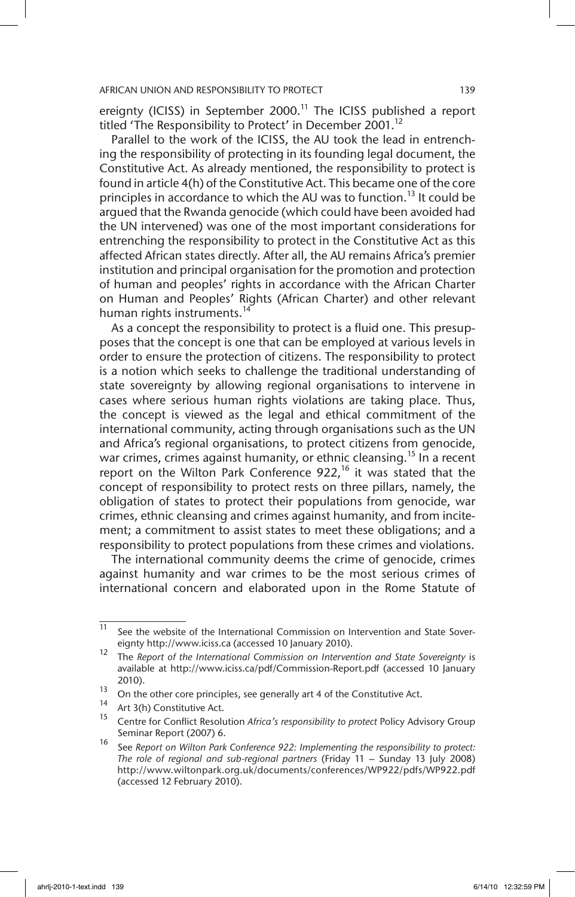ereignty (ICISS) in September 2000.<sup>11</sup> The ICISS published a report titled 'The Responsibility to Protect' in December 2001.<sup>12</sup>

Parallel to the work of the ICISS, the AU took the lead in entrenching the responsibility of protecting in its founding legal document, the Constitutive Act. As already mentioned, the responsibility to protect is found in article 4(h) of the Constitutive Act. This became one of the core principles in accordance to which the AU was to function.<sup>13</sup> It could be argued that the Rwanda genocide (which could have been avoided had the UN intervened) was one of the most important considerations for entrenching the responsibility to protect in the Constitutive Act as this affected African states directly. After all, the AU remains Africa's premier institution and principal organisation for the promotion and protection of human and peoples' rights in accordance with the African Charter on Human and Peoples' Rights (African Charter) and other relevant human rights instruments.<sup>14</sup>

As a concept the responsibility to protect is a fluid one. This presupposes that the concept is one that can be employed at various levels in order to ensure the protection of citizens. The responsibility to protect is a notion which seeks to challenge the traditional understanding of state sovereignty by allowing regional organisations to intervene in cases where serious human rights violations are taking place. Thus, the concept is viewed as the legal and ethical commitment of the international community, acting through organisations such as the UN and Africa's regional organisations, to protect citizens from genocide, war crimes, crimes against humanity, or ethnic cleansing.<sup>15</sup> In a recent report on the Wilton Park Conference 922,<sup>16</sup> it was stated that the concept of responsibility to protect rests on three pillars, namely, the obligation of states to protect their populations from genocide, war crimes, ethnic cleansing and crimes against humanity, and from incitement; a commitment to assist states to meet these obligations; and a responsibility to protect populations from these crimes and violations.

The international community deems the crime of genocide, crimes against humanity and war crimes to be the most serious crimes of international concern and elaborated upon in the Rome Statute of

 $\overline{11}$  See the website of the International Commission on Intervention and State Sovereignty http://www.iciss.ca (accessed 10 January 2010).

<sup>12</sup> The *Report of the International Commission on Intervention and State Sovereignty* is available at http://www.iciss.ca/pdf/Commission-Report.pdf (accessed 10 January 2010).

<sup>&</sup>lt;sup>13</sup> On the other core principles, see generally art 4 of the Constitutive Act.

<sup>&</sup>lt;sup>14</sup> Art 3(h) Constitutive Act.

<sup>15</sup> Centre for Conflict Resolution *Africa's responsibility to protect* Policy Advisory Group Seminar Report (2007) 6.

<sup>16</sup> See *Report on Wilton Park Conference 922: Implementing the responsibility to protect: The role of regional and sub-regional partners* (Friday 11 – Sunday 13 July 2008) http://www.wiltonpark.org.uk/documents/conferences/WP922/pdfs/WP922.pdf (accessed 12 February 2010).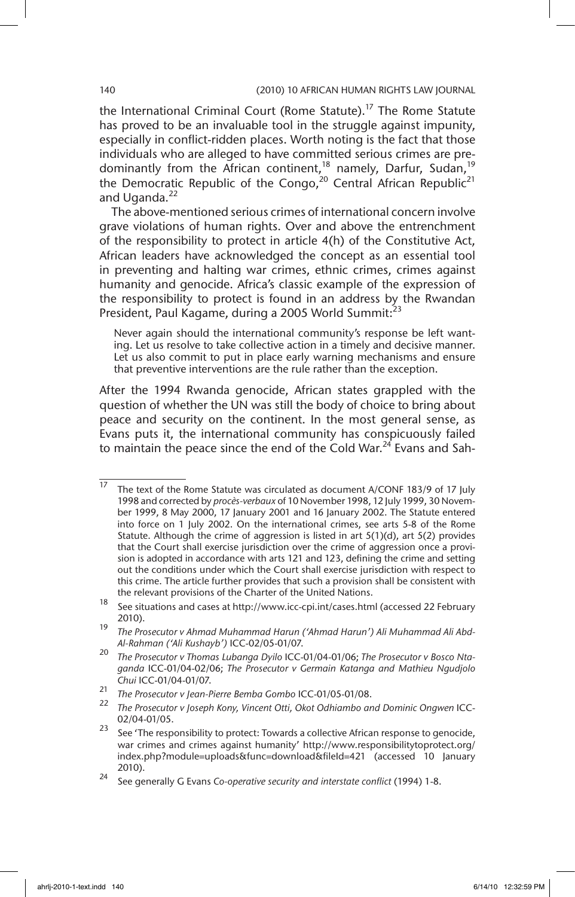the International Criminal Court (Rome Statute).<sup>17</sup> The Rome Statute has proved to be an invaluable tool in the struggle against impunity, especially in conflict-ridden places. Worth noting is the fact that those individuals who are alleged to have committed serious crimes are predominantly from the African continent,<sup>18</sup> namely, Darfur, Sudan,<sup>19</sup> the Democratic Republic of the Congo,<sup>20</sup> Central African Republic<sup>21</sup> and Uganda.<sup>22</sup>

The above-mentioned serious crimes of international concern involve grave violations of human rights. Over and above the entrenchment of the responsibility to protect in article 4(h) of the Constitutive Act, African leaders have acknowledged the concept as an essential tool in preventing and halting war crimes, ethnic crimes, crimes against humanity and genocide. Africa's classic example of the expression of the responsibility to protect is found in an address by the Rwandan President, Paul Kagame, during a 2005 World Summit:<sup>23</sup>

Never again should the international community's response be left wanting. Let us resolve to take collective action in a timely and decisive manner. Let us also commit to put in place early warning mechanisms and ensure that preventive interventions are the rule rather than the exception.

After the 1994 Rwanda genocide, African states grappled with the question of whether the UN was still the body of choice to bring about peace and security on the continent. In the most general sense, as Evans puts it, the international community has conspicuously failed to maintain the peace since the end of the Cold War.<sup>24</sup> Evans and Sah-

 $\frac{17}{17}$  The text of the Rome Statute was circulated as document A/CONF 183/9 of 17 July 1998 and corrected by *procès-verbaux* of 10 November 1998, 12 July 1999, 30 November 1999, 8 May 2000, 17 January 2001 and 16 January 2002. The Statute entered into force on 1 July 2002. On the international crimes, see arts 5-8 of the Rome Statute. Although the crime of aggression is listed in art 5(1)(d), art 5(2) provides that the Court shall exercise jurisdiction over the crime of aggression once a provision is adopted in accordance with arts 121 and 123, defining the crime and setting out the conditions under which the Court shall exercise jurisdiction with respect to this crime. The article further provides that such a provision shall be consistent with the relevant provisions of the Charter of the United Nations.

<sup>18</sup> See situations and cases at http://www.icc-cpi.int/cases.html (accessed 22 February 2010).

<sup>19</sup> *The Prosecutor v Ahmad Muhammad Harun ('Ahmad Harun') Ali Muhammad Ali Abd-Al-Rahman ('Ali Kushayb')* ICC-02/05-01/07.

<sup>20</sup> *The Prosecutor v Thomas Lubanga Dyilo* ICC-01/04-01/06; *The Prosecutor v Bosco Ntaganda* ICC-01/04-02/06; *The Prosecutor v Germain Katanga and Mathieu Ngudjolo Chui* ICC-01/04-01/07.

<sup>21</sup> *The Prosecutor v Jean-Pierre Bemba Gombo* ICC-01/05-01/08.

<sup>22</sup> *The Prosecutor v Joseph Kony, Vincent Otti, Okot Odhiambo and Dominic Ongwen* ICC-02/04-01/05.

 $23$  See 'The responsibility to protect: Towards a collective African response to genocide, war crimes and crimes against humanity' http://www.responsibilitytoprotect.org/ index.php?module=uploads&func=download&fileId=421 (accessed 10 January 2010).

<sup>24</sup> See generally G Evans *Co-operative security and interstate conflict* (1994) 1-8.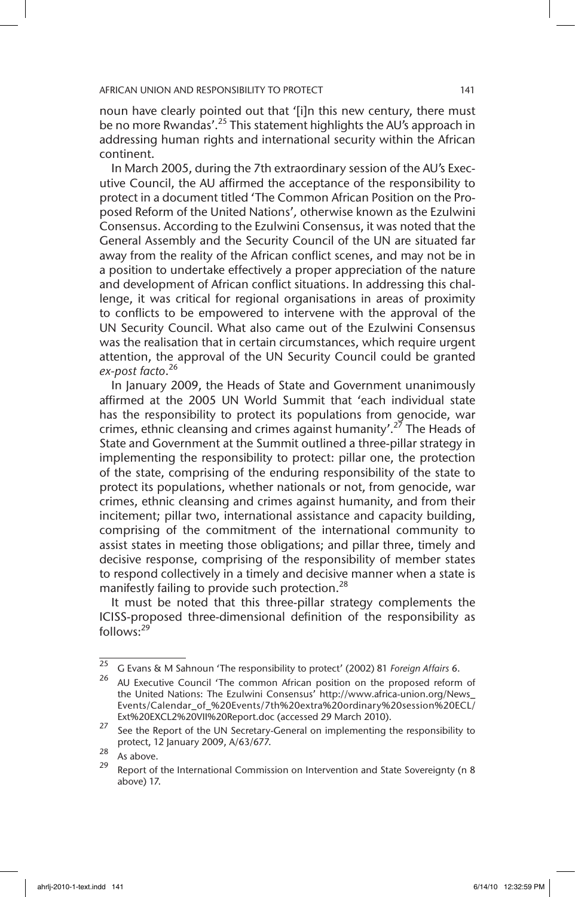# AFRICAN UNION AND RESPONSIBILITY TO PROTECT **141** and the state of the state of the state of the state of the state of the state of the state of the state of the state of the state of the state of the state of the state of

noun have clearly pointed out that '[i]n this new century, there must be no more Rwandas'.<sup>25</sup> This statement highlights the AU's approach in addressing human rights and international security within the African continent.

In March 2005, during the 7th extraordinary session of the AU's Executive Council, the AU affirmed the acceptance of the responsibility to protect in a document titled 'The Common African Position on the Proposed Reform of the United Nations'*,* otherwise known as the Ezulwini Consensus. According to the Ezulwini Consensus, it was noted that the General Assembly and the Security Council of the UN are situated far away from the reality of the African conflict scenes, and may not be in a position to undertake effectively a proper appreciation of the nature and development of African conflict situations. In addressing this challenge, it was critical for regional organisations in areas of proximity to conflicts to be empowered to intervene with the approval of the UN Security Council. What also came out of the Ezulwini Consensus was the realisation that in certain circumstances, which require urgent attention, the approval of the UN Security Council could be granted *ex-post facto*. 26

In January 2009, the Heads of State and Government unanimously affirmed at the 2005 UN World Summit that 'each individual state has the responsibility to protect its populations from genocide, war crimes, ethnic cleansing and crimes against humanity'.<sup>27</sup> The Heads of State and Government at the Summit outlined a three-pillar strategy in implementing the responsibility to protect: pillar one, the protection of the state, comprising of the enduring responsibility of the state to protect its populations, whether nationals or not, from genocide, war crimes, ethnic cleansing and crimes against humanity, and from their incitement; pillar two, international assistance and capacity building, comprising of the commitment of the international community to assist states in meeting those obligations; and pillar three, timely and decisive response, comprising of the responsibility of member states to respond collectively in a timely and decisive manner when a state is manifestly failing to provide such protection.<sup>28</sup>

It must be noted that this three-pillar strategy complements the ICISS-proposed three-dimensional definition of the responsibility as  $follows: <sup>29</sup>$ 

<sup>25</sup> G Evans & M Sahnoun 'The responsibility to protect' (2002) 81 *Foreign Affairs* 6.

AU Executive Council 'The common African position on the proposed reform of the United Nations: The Ezulwini Consensus' http://www.africa-union.org/News\_ Events/Calendar\_of\_%20Events/7th%20extra%20ordinary%20session%20ECL/ Ext%20EXCL2%20VII%20Report.doc (accessed 29 March 2010).

 $27$  See the Report of the UN Secretary-General on implementing the responsibility to protect, 12 January 2009, A/63/677.

 $\frac{28}{29}$  As above.

Report of the International Commission on Intervention and State Sovereignty (n 8 above) 17.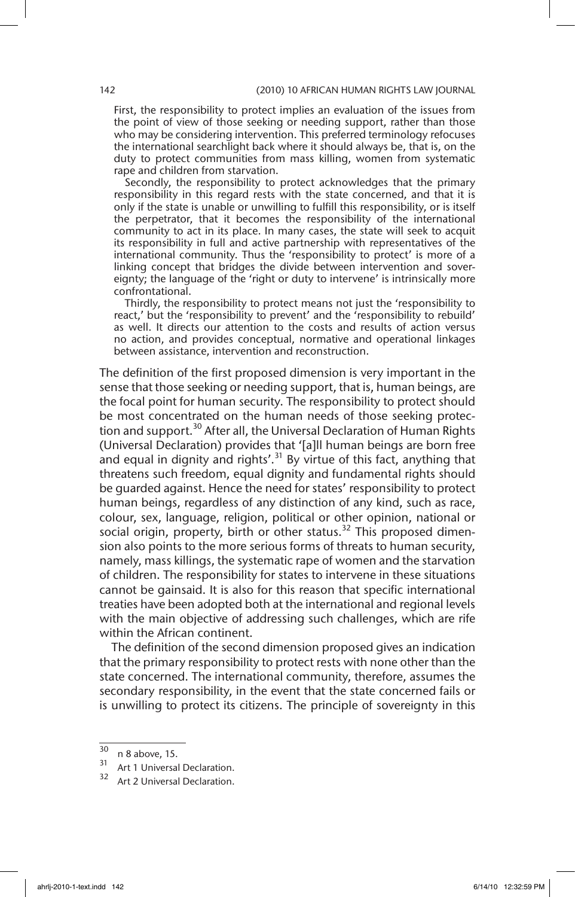First, the responsibility to protect implies an evaluation of the issues from the point of view of those seeking or needing support, rather than those who may be considering intervention. This preferred terminology refocuses the international searchlight back where it should always be, that is, on the duty to protect communities from mass killing, women from systematic rape and children from starvation.

Secondly, the responsibility to protect acknowledges that the primary responsibility in this regard rests with the state concerned, and that it is only if the state is unable or unwilling to fulfill this responsibility, or is itself the perpetrator, that it becomes the responsibility of the international community to act in its place. In many cases, the state will seek to acquit its responsibility in full and active partnership with representatives of the international community. Thus the 'responsibility to protect' is more of a linking concept that bridges the divide between intervention and sovereignty; the language of the 'right or duty to intervene' is intrinsically more confrontational.

Thirdly, the responsibility to protect means not just the 'responsibility to react,' but the 'responsibility to prevent' and the 'responsibility to rebuild' as well. It directs our attention to the costs and results of action versus no action, and provides conceptual, normative and operational linkages between assistance, intervention and reconstruction.

The definition of the first proposed dimension is very important in the sense that those seeking or needing support, that is, human beings, are the focal point for human security. The responsibility to protect should be most concentrated on the human needs of those seeking protection and support.<sup>30</sup> After all, the Universal Declaration of Human Rights (Universal Declaration) provides that '[a]ll human beings are born free and equal in dignity and rights'.<sup>31</sup> By virtue of this fact, anything that threatens such freedom, equal dignity and fundamental rights should be guarded against. Hence the need for states' responsibility to protect human beings, regardless of any distinction of any kind, such as race, colour, sex, language, religion, political or other opinion, national or social origin, property, birth or other status.<sup>32</sup> This proposed dimension also points to the more serious forms of threats to human security, namely, mass killings, the systematic rape of women and the starvation of children. The responsibility for states to intervene in these situations cannot be gainsaid. It is also for this reason that specific international treaties have been adopted both at the international and regional levels with the main objective of addressing such challenges, which are rife within the African continent.

The definition of the second dimension proposed gives an indication that the primary responsibility to protect rests with none other than the state concerned. The international community, therefore, assumes the secondary responsibility, in the event that the state concerned fails or is unwilling to protect its citizens. The principle of sovereignty in this

 $\frac{30}{31}$  n 8 above, 15.

 $31$  Art 1 Universal Declaration.

Art 2 Universal Declaration.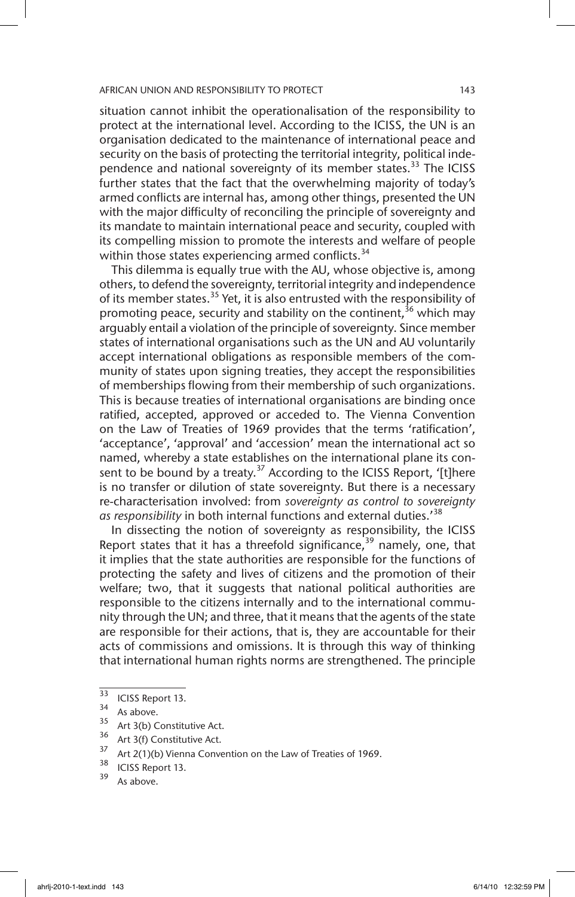situation cannot inhibit the operationalisation of the responsibility to protect at the international level. According to the ICISS, the UN is an organisation dedicated to the maintenance of international peace and security on the basis of protecting the territorial integrity, political independence and national sovereignty of its member states.<sup>33</sup> The ICISS further states that the fact that the overwhelming majority of today's armed conflicts are internal has, among other things, presented the UN with the major difficulty of reconciling the principle of sovereignty and its mandate to maintain international peace and security, coupled with its compelling mission to promote the interests and welfare of people within those states experiencing armed conflicts.  $34$ 

This dilemma is equally true with the AU, whose objective is, among others, to defend the sovereignty, territorial integrity and independence of its member states.<sup>35</sup> Yet, it is also entrusted with the responsibility of promoting peace, security and stability on the continent,<sup>36</sup> which may arguably entail a violation of the principle of sovereignty. Since member states of international organisations such as the UN and AU voluntarily accept international obligations as responsible members of the community of states upon signing treaties, they accept the responsibilities of memberships flowing from their membership of such organizations. This is because treaties of international organisations are binding once ratified, accepted, approved or acceded to. The Vienna Convention on the Law of Treaties of 1969 provides that the terms 'ratification', 'acceptance', 'approval' and 'accession' mean the international act so named, whereby a state establishes on the international plane its consent to be bound by a treaty.<sup>37</sup> According to the ICISS Report, '[t]here is no transfer or dilution of state sovereignty. But there is a necessary re-characterisation involved: from *sovereignty as control to sovereignty as responsibility* in both internal functions and external duties.'38

In dissecting the notion of sovereignty as responsibility, the ICISS Report states that it has a threefold significance,  $39$  namely, one, that it implies that the state authorities are responsible for the functions of protecting the safety and lives of citizens and the promotion of their welfare; two, that it suggests that national political authorities are responsible to the citizens internally and to the international community through the UN; and three, that it means that the agents of the state are responsible for their actions, that is, they are accountable for their acts of commissions and omissions. It is through this way of thinking that international human rights norms are strengthened. The principle

- $35$  Art 3(b) Constitutive Act.
- $36$  Art 3(f) Constitutive Act.

 $\frac{38}{39}$  ICISS Report 13.

 $rac{33}{34}$  ICISS Report 13.

 $35$  As above.

<sup>&</sup>lt;sup>37</sup> Art 2(1)(b) Vienna Convention on the Law of Treaties of 1969.

As above.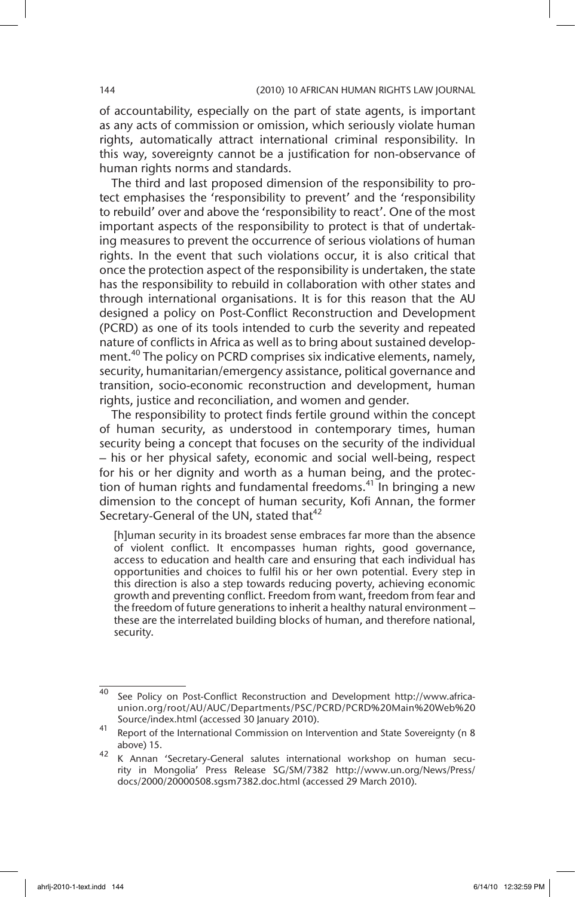of accountability, especially on the part of state agents, is important as any acts of commission or omission, which seriously violate human rights, automatically attract international criminal responsibility. In this way, sovereignty cannot be a justification for non-observance of human rights norms and standards.

The third and last proposed dimension of the responsibility to protect emphasises the 'responsibility to prevent' and the 'responsibility to rebuild' over and above the 'responsibility to react'. One of the most important aspects of the responsibility to protect is that of undertaking measures to prevent the occurrence of serious violations of human rights. In the event that such violations occur, it is also critical that once the protection aspect of the responsibility is undertaken, the state has the responsibility to rebuild in collaboration with other states and through international organisations. It is for this reason that the AU designed a policy on Post-Conflict Reconstruction and Development (PCRD) as one of its tools intended to curb the severity and repeated nature of conflicts in Africa as well as to bring about sustained development.<sup>40</sup> The policy on PCRD comprises six indicative elements, namely, security, humanitarian/emergency assistance, political governance and transition, socio-economic reconstruction and development, human rights, justice and reconciliation, and women and gender.

The responsibility to protect finds fertile ground within the concept of human security, as understood in contemporary times, human security being a concept that focuses on the security of the individual – his or her physical safety, economic and social well-being, respect for his or her dignity and worth as a human being, and the protection of human rights and fundamental freedoms.<sup>41</sup> In bringing a new dimension to the concept of human security, Kofi Annan, the former Secretary-General of the UN, stated that<sup>42</sup>

[h]uman security in its broadest sense embraces far more than the absence of violent conflict. It encompasses human rights, good governance, access to education and health care and ensuring that each individual has opportunities and choices to fulfil his or her own potential. Every step in this direction is also a step towards reducing poverty, achieving economic growth and preventing conflict. Freedom from want, freedom from fear and the freedom of future generations to inherit a healthy natural environment – these are the interrelated building blocks of human, and therefore national, security.

 $\frac{40}{40}$  See Policy on Post-Conflict Reconstruction and Development http://www.africaunion.org/root/AU/AUC/Departments/PSC/PCRD/PCRD%20Main%20Web%20 Source/index.html (accessed 30 January 2010).

<sup>41</sup> Report of the International Commission on Intervention and State Sovereignty (n 8 above) 15.

<sup>42</sup> K Annan 'Secretary-General salutes international workshop on human security in Mongolia' Press Release SG/SM/7382 http://www.un.org/News/Press/ docs/2000/20000508.sgsm7382.doc.html (accessed 29 March 2010).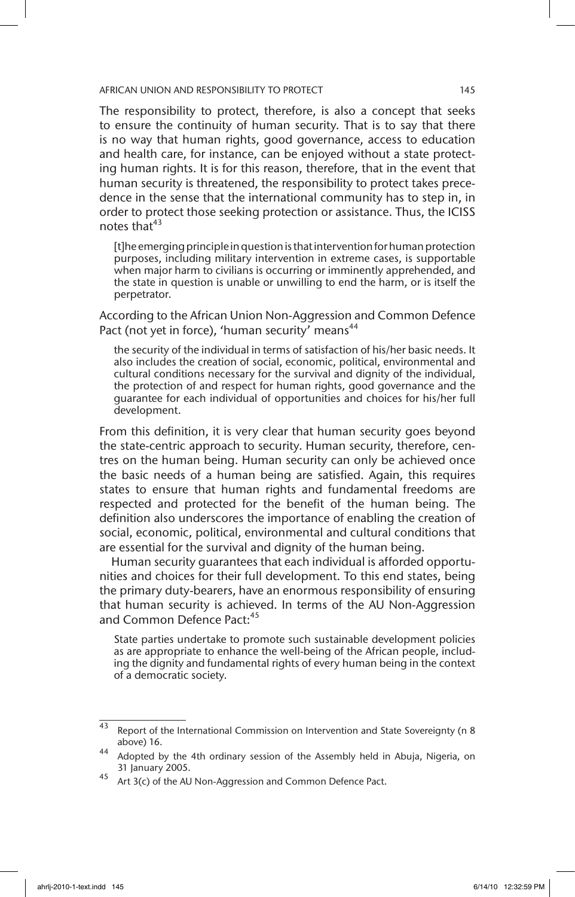The responsibility to protect, therefore, is also a concept that seeks to ensure the continuity of human security. That is to say that there is no way that human rights, good governance, access to education and health care, for instance, can be enjoyed without a state protecting human rights. It is for this reason, therefore, that in the event that human security is threatened, the responsibility to protect takes precedence in the sense that the international community has to step in, in order to protect those seeking protection or assistance. Thus, the ICISS notes that $43$ 

[t]he emerging principle in question is that intervention for human protection purposes, including military intervention in extreme cases, is supportable when major harm to civilians is occurring or imminently apprehended, and the state in question is unable or unwilling to end the harm, or is itself the perpetrator.

According to the African Union Non-Aggression and Common Defence Pact (not yet in force), 'human security' means<sup>44</sup>

the security of the individual in terms of satisfaction of his/her basic needs. It also includes the creation of social, economic, political, environmental and cultural conditions necessary for the survival and dignity of the individual, the protection of and respect for human rights, good governance and the guarantee for each individual of opportunities and choices for his/her full development.

From this definition, it is very clear that human security goes beyond the state-centric approach to security. Human security, therefore, centres on the human being. Human security can only be achieved once the basic needs of a human being are satisfied. Again, this requires states to ensure that human rights and fundamental freedoms are respected and protected for the benefit of the human being. The definition also underscores the importance of enabling the creation of social, economic, political, environmental and cultural conditions that are essential for the survival and dignity of the human being.

Human security guarantees that each individual is afforded opportunities and choices for their full development. To this end states, being the primary duty-bearers, have an enormous responsibility of ensuring that human security is achieved. In terms of the AU Non-Aggression and Common Defence Pact:<sup>45</sup>

State parties undertake to promote such sustainable development policies as are appropriate to enhance the well-being of the African people, including the dignity and fundamental rights of every human being in the context of a democratic society.

<sup>43</sup> Report of the International Commission on Intervention and State Sovereignty (n 8 above) 16.

<sup>44</sup> Adopted by the 4th ordinary session of the Assembly held in Abuja, Nigeria, on 31 January 2005.

<sup>45</sup> Art 3(c) of the AU Non-Aggression and Common Defence Pact.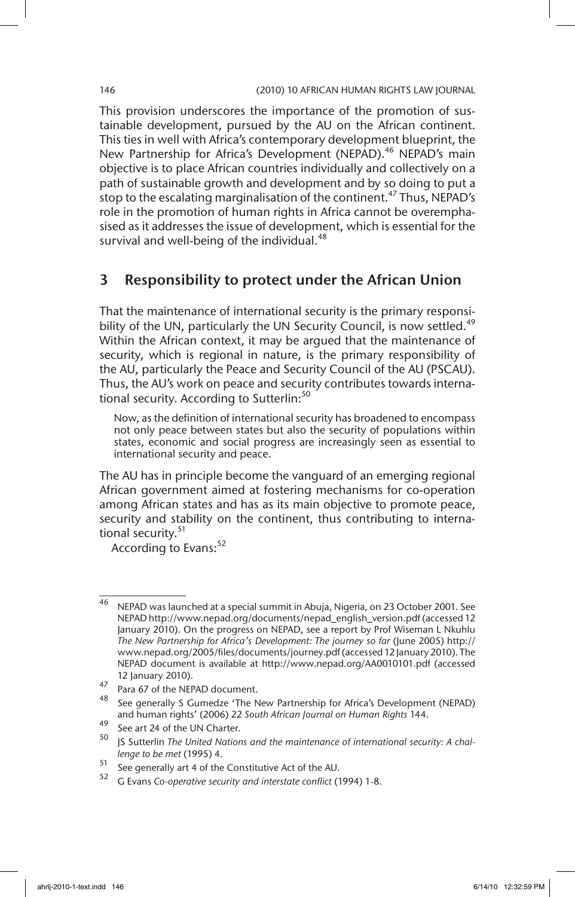This provision underscores the importance of the promotion of sustainable development, pursued by the AU on the African continent. This ties in well with Africa's contemporary development blueprint, the New Partnership for Africa's Development (NEPAD).<sup>46</sup> NEPAD's main objective is to place African countries individually and collectively on a path of sustainable growth and development and by so doing to put a stop to the escalating marginalisation of the continent.<sup>47</sup> Thus, NEPAD's role in the promotion of human rights in Africa cannot be overemphasised as it addresses the issue of development, which is essential for the survival and well-being of the individual.<sup>48</sup>

# 3 Responsibility to protect under the African Union

That the maintenance of international security is the primary responsibility of the UN, particularly the UN Security Council, is now settled.<sup>49</sup> Within the African context, it may be argued that the maintenance of security, which is regional in nature, is the primary responsibility of the AU, particularly the Peace and Security Council of the AU (PSCAU). Thus, the AU's work on peace and security contributes towards international security. According to Sutterlin:<sup>50</sup>

Now, as the definition of international security has broadened to encompass not only peace between states but also the security of populations within states, economic and social progress are increasingly seen as essential to international security and peace.

The AU has in principle become the vanguard of an emerging regional African government aimed at fostering mechanisms for co-operation among African states and has as its main objective to promote peace, security and stability on the continent, thus contributing to international security.<sup>51</sup>

According to Evans:<sup>52</sup>

<sup>46</sup> NEPAD was launched at a special summit in Abuja, Nigeria, on 23 October 2001. See NEPAD http://www.nepad.org/documents/nepad\_english\_version.pdf (accessed 12 January 2010). On the progress on NEPAD, see a report by Prof Wiseman L Nkuhlu *The New Partnership for Africa's Development: The journey so far* (June 2005) http:// www.nepad.org/2005/files/documents/journey.pdf (accessed 12 January 2010). The NEPAD document is available at http://www.nepad.org/AA0010101.pdf (accessed 12 January 2010).

 $\frac{47}{18}$  Para 67 of the NEPAD document.

<sup>48</sup> See generally S Gumedze 'The New Partnership for Africa's Development (NEPAD) and human rights' (2006) 22 *South African Journal on Human Rights* 144.

<sup>49</sup> See art 24 of the UN Charter.

JS Sutterlin The United Nations and the maintenance of international security: A chal*lenge to be met* (1995) 4.

<sup>51</sup> See generally art 4 of the Constitutive Act of the AU.<br> $52\degree$  C Figure Conservative considered intertate conflict (1)

<sup>52</sup> G Evans *Co-operative security and interstate conflict* (1994) 1-8.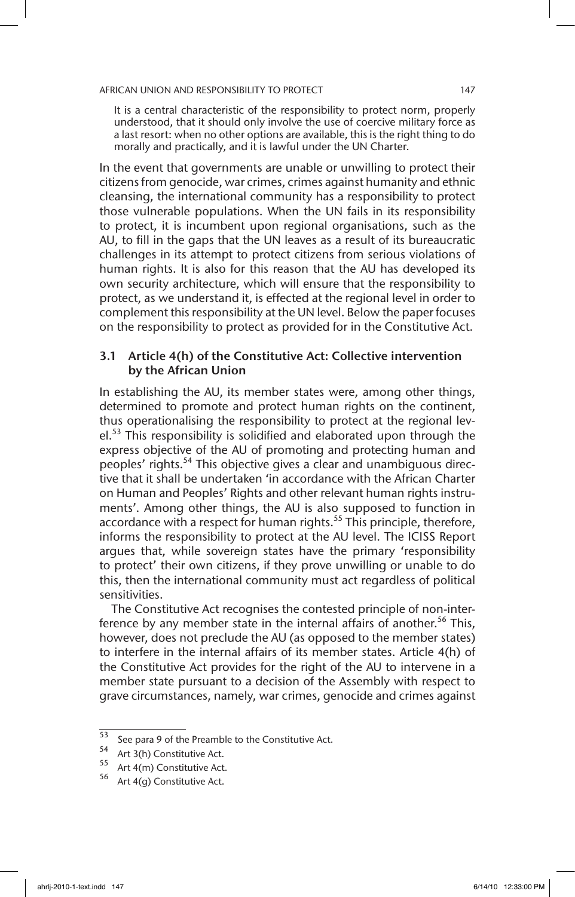It is a central characteristic of the responsibility to protect norm, properly understood, that it should only involve the use of coercive military force as a last resort: when no other options are available, this is the right thing to do morally and practically, and it is lawful under the UN Charter.

In the event that governments are unable or unwilling to protect their citizens from genocide, war crimes, crimes against humanity and ethnic cleansing, the international community has a responsibility to protect those vulnerable populations. When the UN fails in its responsibility to protect, it is incumbent upon regional organisations, such as the AU, to fill in the gaps that the UN leaves as a result of its bureaucratic challenges in its attempt to protect citizens from serious violations of human rights. It is also for this reason that the AU has developed its own security architecture, which will ensure that the responsibility to protect, as we understand it, is effected at the regional level in order to complement this responsibility at the UN level. Below the paper focuses on the responsibility to protect as provided for in the Constitutive Act.

# 3.1 Article 4(h) of the Constitutive Act: Collective intervention by the African Union

In establishing the AU, its member states were, among other things, determined to promote and protect human rights on the continent, thus operationalising the responsibility to protect at the regional level.<sup>53</sup> This responsibility is solidified and elaborated upon through the express objective of the AU of promoting and protecting human and peoples' rights.54 This objective gives a clear and unambiguous directive that it shall be undertaken 'in accordance with the African Charter on Human and Peoples' Rights and other relevant human rights instruments'. Among other things, the AU is also supposed to function in accordance with a respect for human rights.<sup>55</sup> This principle, therefore, informs the responsibility to protect at the AU level. The ICISS Report argues that, while sovereign states have the primary 'responsibility to protect' their own citizens, if they prove unwilling or unable to do this, then the international community must act regardless of political sensitivities.

The Constitutive Act recognises the contested principle of non-interference by any member state in the internal affairs of another.<sup>56</sup> This, however, does not preclude the AU (as opposed to the member states) to interfere in the internal affairs of its member states. Article 4(h) of the Constitutive Act provides for the right of the AU to intervene in a member state pursuant to a decision of the Assembly with respect to grave circumstances, namely, war crimes, genocide and crimes against

 $\frac{53}{54}$  See para 9 of the Preamble to the Constitutive Act.

<sup>&</sup>lt;sup>54</sup> Art 3(h) Constitutive Act.<br> $^{55}$  Art 4(m) Constitutive Act

Art 4(m) Constitutive Act.

<sup>56</sup> Art 4(g) Constitutive Act.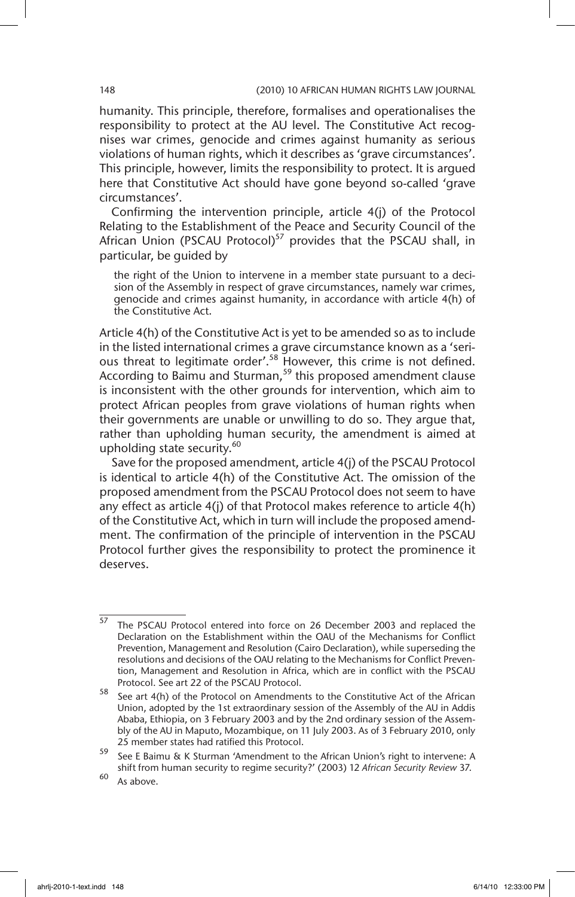humanity. This principle, therefore, formalises and operationalises the responsibility to protect at the AU level. The Constitutive Act recognises war crimes, genocide and crimes against humanity as serious violations of human rights, which it describes as 'grave circumstances'. This principle, however, limits the responsibility to protect. It is argued here that Constitutive Act should have gone beyond so-called 'grave circumstances'.

Confirming the intervention principle, article 4(j) of the Protocol Relating to the Establishment of the Peace and Security Council of the African Union (PSCAU Protocol)<sup>57</sup> provides that the PSCAU shall, in particular, be guided by

the right of the Union to intervene in a member state pursuant to a decision of the Assembly in respect of grave circumstances, namely war crimes, genocide and crimes against humanity, in accordance with article 4(h) of the Constitutive Act.

Article 4(h) of the Constitutive Act is yet to be amended so as to include in the listed international crimes a grave circumstance known as a 'serious threat to legitimate order'.58 However, this crime is not defined. According to Baimu and Sturman,<sup>59</sup> this proposed amendment clause is inconsistent with the other grounds for intervention, which aim to protect African peoples from grave violations of human rights when their governments are unable or unwilling to do so. They argue that, rather than upholding human security, the amendment is aimed at upholding state security.<sup>60</sup>

Save for the proposed amendment, article 4(j) of the PSCAU Protocol is identical to article 4(h) of the Constitutive Act. The omission of the proposed amendment from the PSCAU Protocol does not seem to have any effect as article 4(j) of that Protocol makes reference to article 4(h) of the Constitutive Act, which in turn will include the proposed amendment. The confirmation of the principle of intervention in the PSCAU Protocol further gives the responsibility to protect the prominence it deserves.

 $\frac{57}{2}$  The PSCAU Protocol entered into force on 26 December 2003 and replaced the Declaration on the Establishment within the OAU of the Mechanisms for Conflict Prevention, Management and Resolution (Cairo Declaration), while superseding the resolutions and decisions of the OAU relating to the Mechanisms for Conflict Prevention, Management and Resolution in Africa, which are in conflict with the PSCAU Protocol. See art 22 of the PSCAU Protocol.

<sup>58</sup> See art 4(h) of the Protocol on Amendments to the Constitutive Act of the African Union, adopted by the 1st extraordinary session of the Assembly of the AU in Addis Ababa, Ethiopia, on 3 February 2003 and by the 2nd ordinary session of the Assembly of the AU in Maputo, Mozambique, on 11 July 2003. As of 3 February 2010, only 25 member states had ratified this Protocol.

<sup>59</sup> See E Baimu & K Sturman 'Amendment to the African Union's right to intervene: A shift from human security to regime security?' (2003) 12 *African Security Review* 37.

 $60$  As above.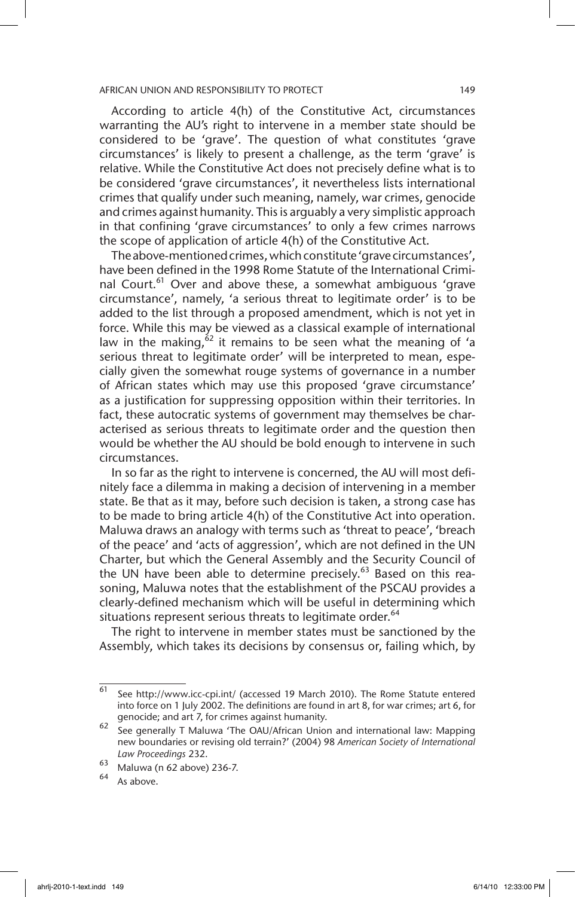According to article 4(h) of the Constitutive Act, circumstances warranting the AU's right to intervene in a member state should be considered to be 'grave'. The question of what constitutes 'grave circumstances' is likely to present a challenge, as the term 'grave' is relative. While the Constitutive Act does not precisely define what is to be considered 'grave circumstances', it nevertheless lists international crimes that qualify under such meaning, namely, war crimes, genocide and crimes against humanity. This is arguably a very simplistic approach in that confining 'grave circumstances' to only a few crimes narrows the scope of application of article 4(h) of the Constitutive Act.

The above-mentioned crimes, which constitute 'grave circumstances', have been defined in the 1998 Rome Statute of the International Criminal Court.<sup>61</sup> Over and above these, a somewhat ambiguous 'grave circumstance', namely, 'a serious threat to legitimate order' is to be added to the list through a proposed amendment, which is not yet in force. While this may be viewed as a classical example of international law in the making,  $62$  it remains to be seen what the meaning of 'a serious threat to legitimate order' will be interpreted to mean, especially given the somewhat rouge systems of governance in a number of African states which may use this proposed 'grave circumstance' as a justification for suppressing opposition within their territories. In fact, these autocratic systems of government may themselves be characterised as serious threats to legitimate order and the question then would be whether the AU should be bold enough to intervene in such circumstances.

In so far as the right to intervene is concerned, the AU will most definitely face a dilemma in making a decision of intervening in a member state. Be that as it may, before such decision is taken, a strong case has to be made to bring article 4(h) of the Constitutive Act into operation. Maluwa draws an analogy with terms such as 'threat to peace', 'breach of the peace' and 'acts of aggression', which are not defined in the UN Charter, but which the General Assembly and the Security Council of the UN have been able to determine precisely. $63$  Based on this reasoning, Maluwa notes that the establishment of the PSCAU provides a clearly-defined mechanism which will be useful in determining which situations represent serious threats to legitimate order.<sup>64</sup>

The right to intervene in member states must be sanctioned by the Assembly, which takes its decisions by consensus or, failing which, by

 $\frac{61}{61}$  See http://www.icc-cpi.int/ (accessed 19 March 2010). The Rome Statute entered into force on 1 July 2002. The definitions are found in art 8, for war crimes; art 6, for genocide; and art 7, for crimes against humanity.

<sup>62</sup> See generally T Maluwa 'The OAU/African Union and international law: Mapping new boundaries or revising old terrain?' (2004) 98 *American Society of International Law Proceedings* 232.

<sup>63</sup> Maluwa (n 62 above) 236-7.

As above.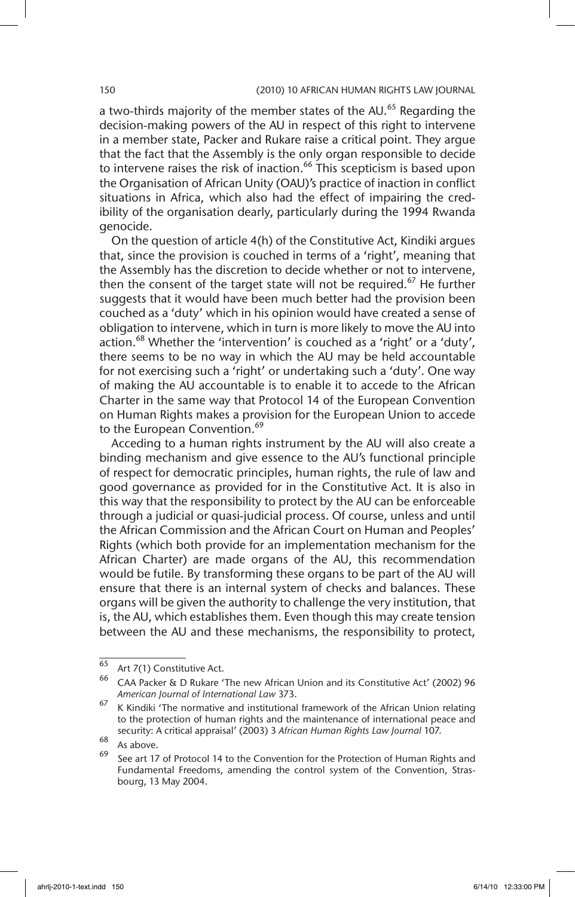a two-thirds majority of the member states of the AU.<sup>65</sup> Regarding the decision-making powers of the AU in respect of this right to intervene in a member state, Packer and Rukare raise a critical point. They argue that the fact that the Assembly is the only organ responsible to decide to intervene raises the risk of inaction.<sup>66</sup> This scepticism is based upon the Organisation of African Unity (OAU)'s practice of inaction in conflict situations in Africa, which also had the effect of impairing the credibility of the organisation dearly, particularly during the 1994 Rwanda genocide.

On the question of article 4(h) of the Constitutive Act, Kindiki argues that, since the provision is couched in terms of a 'right', meaning that the Assembly has the discretion to decide whether or not to intervene, then the consent of the target state will not be required.<sup>67</sup> He further suggests that it would have been much better had the provision been couched as a 'duty' which in his opinion would have created a sense of obligation to intervene, which in turn is more likely to move the AU into action.<sup>68</sup> Whether the 'intervention' is couched as a 'right' or a 'duty', there seems to be no way in which the AU may be held accountable for not exercising such a 'right' or undertaking such a 'duty'. One way of making the AU accountable is to enable it to accede to the African Charter in the same way that Protocol 14 of the European Convention on Human Rights makes a provision for the European Union to accede to the European Convention.<sup>69</sup>

Acceding to a human rights instrument by the AU will also create a binding mechanism and give essence to the AU's functional principle of respect for democratic principles, human rights, the rule of law and good governance as provided for in the Constitutive Act. It is also in this way that the responsibility to protect by the AU can be enforceable through a judicial or quasi-judicial process. Of course, unless and until the African Commission and the African Court on Human and Peoples' Rights (which both provide for an implementation mechanism for the African Charter) are made organs of the AU, this recommendation would be futile. By transforming these organs to be part of the AU will ensure that there is an internal system of checks and balances. These organs will be given the authority to challenge the very institution, that is, the AU, which establishes them. Even though this may create tension between the AU and these mechanisms, the responsibility to protect,

 $65$  Art 7(1) Constitutive Act.

<sup>66</sup> CAA Packer & D Rukare 'The new African Union and its Constitutive Act' (2002) 96 *American Journal of International Law* 373.

 $67$  K Kindiki 'The normative and institutional framework of the African Union relating to the protection of human rights and the maintenance of international peace and security: A critical appraisal' (2003) 3 *African Human Rights Law Journal* 107.

 $68$  As above.

See art 17 of Protocol 14 to the Convention for the Protection of Human Rights and Fundamental Freedoms, amending the control system of the Convention, Strasbourg, 13 May 2004.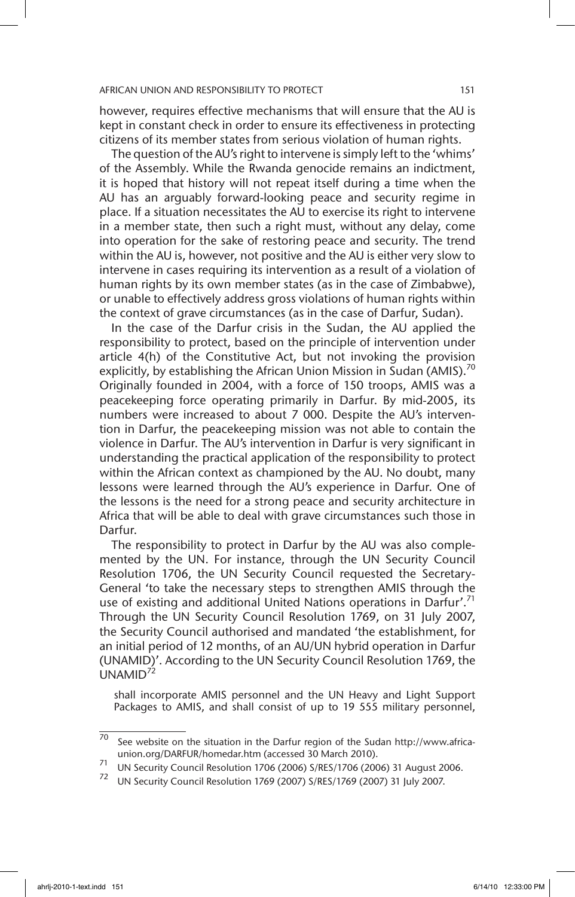however, requires effective mechanisms that will ensure that the AU is kept in constant check in order to ensure its effectiveness in protecting citizens of its member states from serious violation of human rights.

The question of the AU's right to intervene is simply left to the 'whims' of the Assembly. While the Rwanda genocide remains an indictment, it is hoped that history will not repeat itself during a time when the AU has an arguably forward-looking peace and security regime in place. If a situation necessitates the AU to exercise its right to intervene in a member state, then such a right must, without any delay, come into operation for the sake of restoring peace and security. The trend within the AU is, however, not positive and the AU is either very slow to intervene in cases requiring its intervention as a result of a violation of human rights by its own member states (as in the case of Zimbabwe), or unable to effectively address gross violations of human rights within the context of grave circumstances (as in the case of Darfur, Sudan).

In the case of the Darfur crisis in the Sudan, the AU applied the responsibility to protect, based on the principle of intervention under article 4(h) of the Constitutive Act, but not invoking the provision explicitly, by establishing the African Union Mission in Sudan (AMIS).<sup>70</sup> Originally founded in 2004, with a force of 150 troops, AMIS was a peacekeeping force operating primarily in Darfur. By mid-2005, its numbers were increased to about 7 000. Despite the AU's intervention in Darfur, the peacekeeping mission was not able to contain the violence in Darfur. The AU's intervention in Darfur is very significant in understanding the practical application of the responsibility to protect within the African context as championed by the AU. No doubt, many lessons were learned through the AU's experience in Darfur. One of the lessons is the need for a strong peace and security architecture in Africa that will be able to deal with grave circumstances such those in Darfur.

The responsibility to protect in Darfur by the AU was also complemented by the UN. For instance, through the UN Security Council Resolution 1706, the UN Security Council requested the Secretary-General 'to take the necessary steps to strengthen AMIS through the use of existing and additional United Nations operations in Darfur'.<sup>71</sup> Through the UN Security Council Resolution 1769, on 31 July 2007, the Security Council authorised and mandated 'the establishment, for an initial period of 12 months, of an AU/UN hybrid operation in Darfur (UNAMID)'. According to the UN Security Council Resolution 1769, the  $UNAMID<sup>72</sup>$ 

shall incorporate AMIS personnel and the UN Heavy and Light Support Packages to AMIS, and shall consist of up to 19 555 military personnel,

 $70$  See website on the situation in the Darfur region of the Sudan http://www.africaunion.org/DARFUR/homedar.htm (accessed 30 March 2010).

<sup>71</sup> UN Security Council Resolution 1706 (2006) S/RES/1706 (2006) 31 August 2006.

<sup>72</sup> UN Security Council Resolution 1769 (2007) S/RES/1769 (2007) 31 July 2007.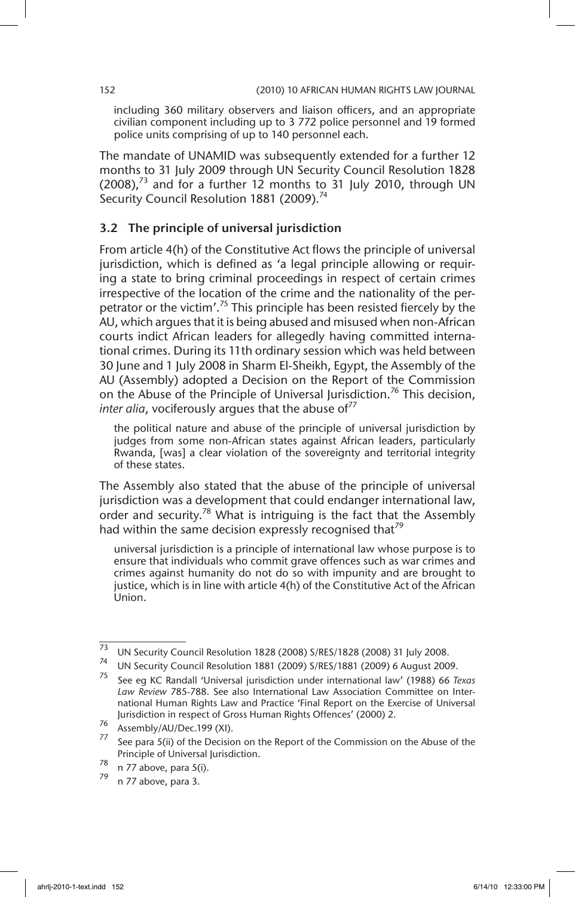including 360 military observers and liaison officers, and an appropriate civilian component including up to 3 772 police personnel and 19 formed police units comprising of up to 140 personnel each.

The mandate of UNAMID was subsequently extended for a further 12 months to 31 July 2009 through UN Security Council Resolution 1828  $(2008)<sup>73</sup>$  and for a further 12 months to 31 July 2010, through UN Security Council Resolution 1881 (2009).<sup>74</sup>

# 3.2 The principle of universal jurisdiction

From article 4(h) of the Constitutive Act flows the principle of universal jurisdiction, which is defined as 'a legal principle allowing or requiring a state to bring criminal proceedings in respect of certain crimes irrespective of the location of the crime and the nationality of the perpetrator or the victim'.<sup>75</sup> This principle has been resisted fiercely by the AU, which argues that it is being abused and misused when non-African courts indict African leaders for allegedly having committed international crimes. During its 11th ordinary session which was held between 30 June and 1 July 2008 in Sharm El-Sheikh, Egypt, the Assembly of the AU (Assembly) adopted a Decision on the Report of the Commission on the Abuse of the Principle of Universal Jurisdiction.<sup>76</sup> This decision, *inter alia*, vociferously arques that the abuse of<sup>77</sup>

the political nature and abuse of the principle of universal jurisdiction by judges from some non-African states against African leaders, particularly Rwanda, [was] a clear violation of the sovereignty and territorial integrity of these states.

The Assembly also stated that the abuse of the principle of universal jurisdiction was a development that could endanger international law, order and security.<sup>78</sup> What is intriguing is the fact that the Assembly had within the same decision expressly recognised that<sup>79</sup>

universal jurisdiction is a principle of international law whose purpose is to ensure that individuals who commit grave offences such as war crimes and crimes against humanity do not do so with impunity and are brought to justice, which is in line with article 4(h) of the Constitutive Act of the African Union.

 $\frac{73}{73}$  UN Security Council Resolution 1828 (2008) S/RES/1828 (2008) 31 July 2008.

<sup>74</sup> UN Security Council Resolution 1881 (2009) S/RES/1881 (2009) 6 August 2009.

<sup>75</sup> See eg KC Randall 'Universal jurisdiction under international law' (1988) 66 *Texas Law Review* 785-788. See also International Law Association Committee on International Human Rights Law and Practice 'Final Report on the Exercise of Universal Jurisdiction in respect of Gross Human Rights Offences' (2000) 2.

 $^{76}$  Assembly/AU/Dec.199 (XI).

See para 5(ii) of the Decision on the Report of the Commission on the Abuse of the Principle of Universal Jurisdiction.

 $78$  n 77 above, para 5(i).

n 77 above, para 3.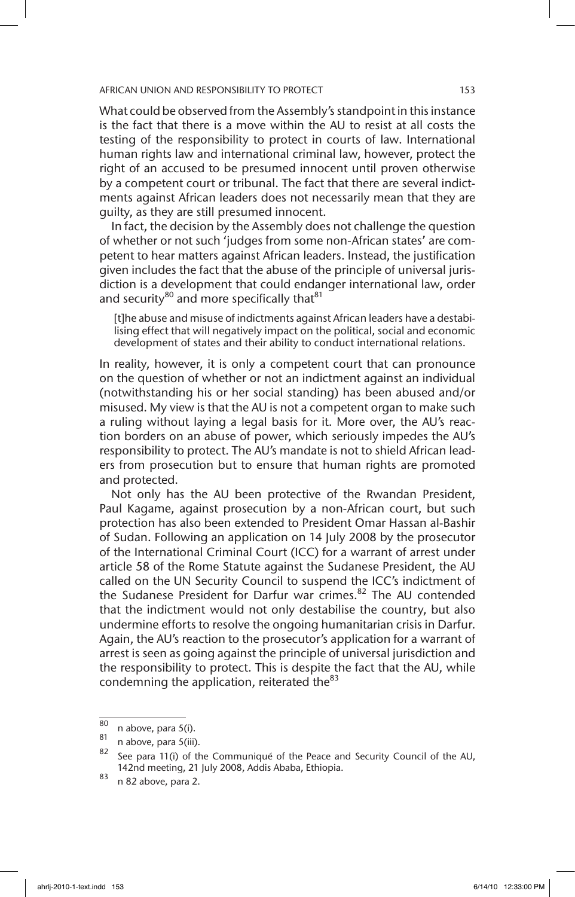What could be observed from the Assembly's standpoint in this instance is the fact that there is a move within the AU to resist at all costs the testing of the responsibility to protect in courts of law. International human rights law and international criminal law, however, protect the right of an accused to be presumed innocent until proven otherwise by a competent court or tribunal. The fact that there are several indictments against African leaders does not necessarily mean that they are guilty, as they are still presumed innocent.

In fact, the decision by the Assembly does not challenge the question of whether or not such 'judges from some non-African states' are competent to hear matters against African leaders. Instead, the justification given includes the fact that the abuse of the principle of universal jurisdiction is a development that could endanger international law, order and security<sup>80</sup> and more specifically that<sup>81</sup>

[t]he abuse and misuse of indictments against African leaders have a destabilising effect that will negatively impact on the political, social and economic development of states and their ability to conduct international relations.

In reality, however, it is only a competent court that can pronounce on the question of whether or not an indictment against an individual (notwithstanding his or her social standing) has been abused and/or misused. My view is that the AU is not a competent organ to make such a ruling without laying a legal basis for it. More over, the AU's reaction borders on an abuse of power, which seriously impedes the AU's responsibility to protect. The AU's mandate is not to shield African leaders from prosecution but to ensure that human rights are promoted and protected.

Not only has the AU been protective of the Rwandan President, Paul Kagame, against prosecution by a non-African court, but such protection has also been extended to President Omar Hassan al-Bashir of Sudan. Following an application on 14 July 2008 by the prosecutor of the International Criminal Court (ICC) for a warrant of arrest under article 58 of the Rome Statute against the Sudanese President, the AU called on the UN Security Council to suspend the ICC's indictment of the Sudanese President for Darfur war crimes.<sup>82</sup> The AU contended that the indictment would not only destabilise the country, but also undermine efforts to resolve the ongoing humanitarian crisis in Darfur. Again, the AU's reaction to the prosecutor's application for a warrant of arrest is seen as going against the principle of universal jurisdiction and the responsibility to protect. This is despite the fact that the AU, while condemning the application, reiterated the $83$ 

 $\frac{80}{81}$  n above, para 5(i).

 $\frac{81}{82}$  n above, para 5(iii).

See para 11(i) of the Communiqué of the Peace and Security Council of the AU, 142nd meeting, 21 July 2008, Addis Ababa, Ethiopia.

 $83$  n 82 above, para 2.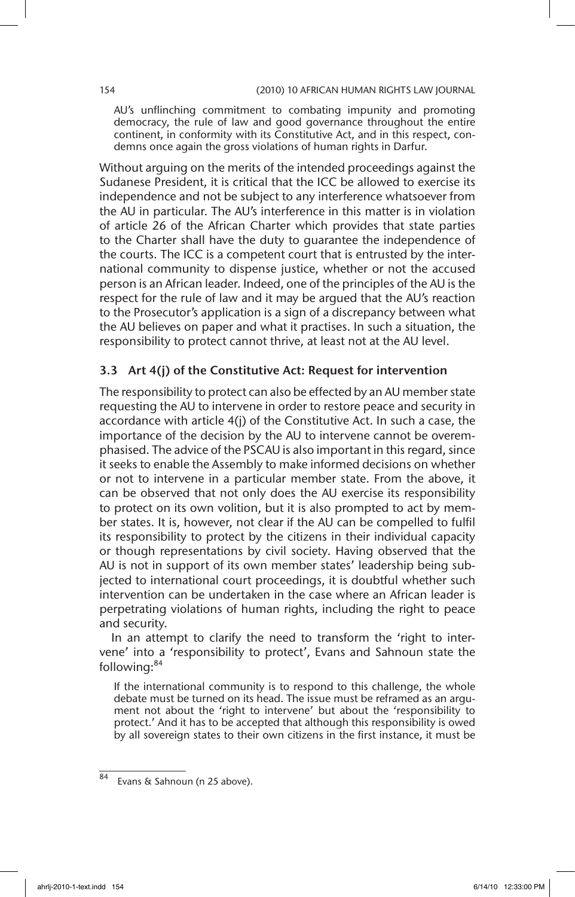AU's unflinching commitment to combating impunity and promoting democracy, the rule of law and good governance throughout the entire continent, in conformity with its Constitutive Act, and in this respect, condemns once again the gross violations of human rights in Darfur.

Without arguing on the merits of the intended proceedings against the Sudanese President, it is critical that the ICC be allowed to exercise its independence and not be subject to any interference whatsoever from the AU in particular. The AU's interference in this matter is in violation of article 26 of the African Charter which provides that state parties to the Charter shall have the duty to guarantee the independence of the courts. The ICC is a competent court that is entrusted by the international community to dispense justice, whether or not the accused person is an African leader. Indeed, one of the principles of the AU is the respect for the rule of law and it may be argued that the AU's reaction to the Prosecutor's application is a sign of a discrepancy between what the AU believes on paper and what it practises. In such a situation, the responsibility to protect cannot thrive, at least not at the AU level.

# 3.3 Art 4(j) of the Constitutive Act: Request for intervention

The responsibility to protect can also be effected by an AU member state requesting the AU to intervene in order to restore peace and security in accordance with article 4(j) of the Constitutive Act. In such a case, the importance of the decision by the AU to intervene cannot be overemphasised. The advice of the PSCAU is also important in this regard, since it seeks to enable the Assembly to make informed decisions on whether or not to intervene in a particular member state. From the above, it can be observed that not only does the AU exercise its responsibility to protect on its own volition, but it is also prompted to act by member states. It is, however, not clear if the AU can be compelled to fulfil its responsibility to protect by the citizens in their individual capacity or though representations by civil society. Having observed that the AU is not in support of its own member states' leadership being subjected to international court proceedings, it is doubtful whether such intervention can be undertaken in the case where an African leader is perpetrating violations of human rights, including the right to peace and security.

In an attempt to clarify the need to transform the 'right to intervene' into a 'responsibility to protect', Evans and Sahnoun state the following:<sup>84</sup>

If the international community is to respond to this challenge, the whole debate must be turned on its head. The issue must be reframed as an argument not about the 'right to intervene' but about the 'responsibility to protect.' And it has to be accepted that although this responsibility is owed by all sovereign states to their own citizens in the first instance, it must be

<sup>84</sup> Evans & Sahnoun (n 25 above).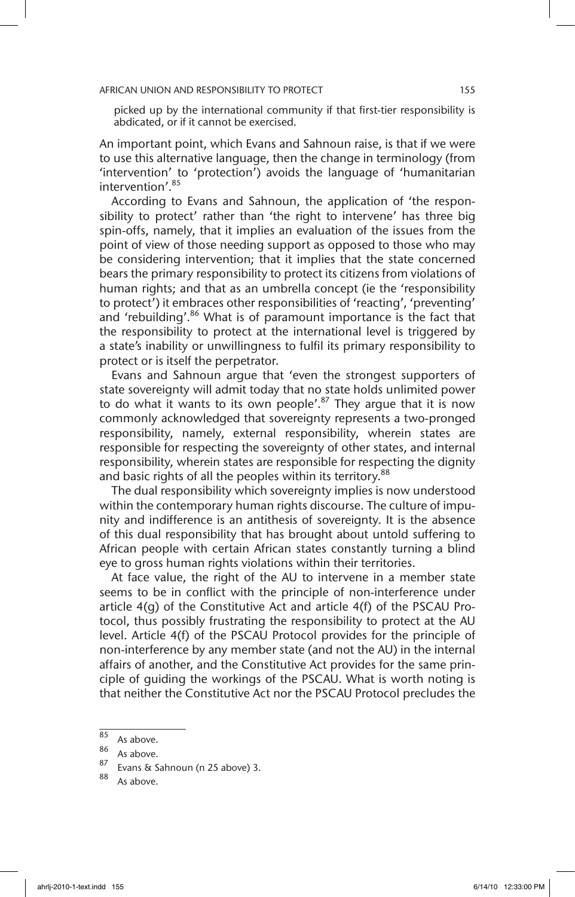picked up by the international community if that first-tier responsibility is abdicated, or if it cannot be exercised.

An important point, which Evans and Sahnoun raise, is that if we were to use this alternative language, then the change in terminology (from 'intervention' to 'protection') avoids the language of 'humanitarian intervention'.<sup>85</sup>

According to Evans and Sahnoun, the application of 'the responsibility to protect' rather than 'the right to intervene' has three big spin-offs, namely, that it implies an evaluation of the issues from the point of view of those needing support as opposed to those who may be considering intervention; that it implies that the state concerned bears the primary responsibility to protect its citizens from violations of human rights; and that as an umbrella concept (ie the 'responsibility to protect') it embraces other responsibilities of 'reacting', 'preventing' and 'rebuilding'.<sup>86</sup> What is of paramount importance is the fact that the responsibility to protect at the international level is triggered by a state's inability or unwillingness to fulfil its primary responsibility to protect or is itself the perpetrator.

Evans and Sahnoun argue that 'even the strongest supporters of state sovereignty will admit today that no state holds unlimited power to do what it wants to its own people'.<sup>87</sup> They argue that it is now commonly acknowledged that sovereignty represents a two-pronged responsibility, namely, external responsibility, wherein states are responsible for respecting the sovereignty of other states, and internal responsibility, wherein states are responsible for respecting the dignity and basic rights of all the peoples within its territory.<sup>88</sup>

The dual responsibility which sovereignty implies is now understood within the contemporary human rights discourse. The culture of impunity and indifference is an antithesis of sovereignty. It is the absence of this dual responsibility that has brought about untold suffering to African people with certain African states constantly turning a blind eye to gross human rights violations within their territories.

At face value, the right of the AU to intervene in a member state seems to be in conflict with the principle of non-interference under article 4(g) of the Constitutive Act and article 4(f) of the PSCAU Protocol, thus possibly frustrating the responsibility to protect at the AU level. Article 4(f) of the PSCAU Protocol provides for the principle of non-interference by any member state (and not the AU) in the internal affairs of another, and the Constitutive Act provides for the same principle of guiding the workings of the PSCAU. What is worth noting is that neither the Constitutive Act nor the PSCAU Protocol precludes the

As above.

 $\frac{85}{86}$  As above.

 $\frac{80}{87}$  As above.

 $\frac{87}{88}$  Evans & Sahnoun (n 25 above) 3.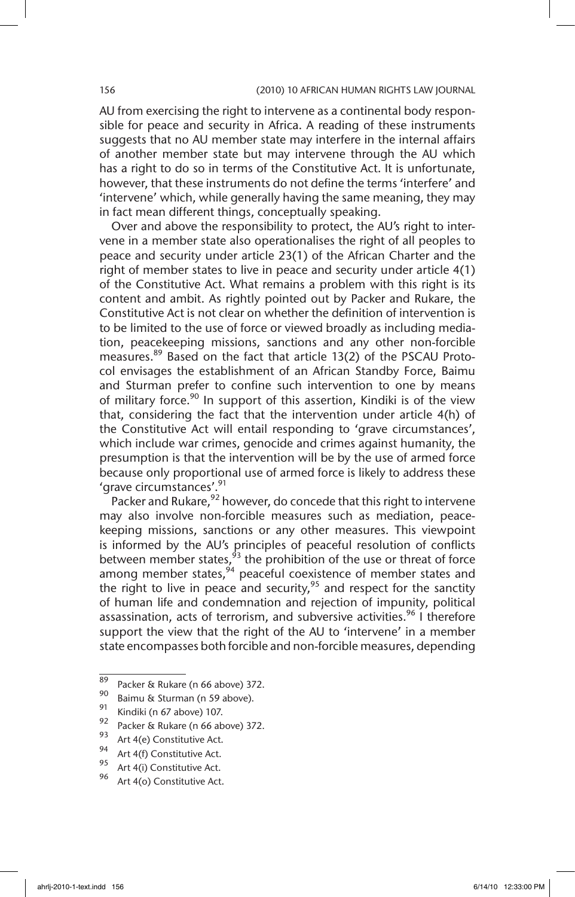AU from exercising the right to intervene as a continental body responsible for peace and security in Africa. A reading of these instruments suggests that no AU member state may interfere in the internal affairs of another member state but may intervene through the AU which has a right to do so in terms of the Constitutive Act. It is unfortunate, however, that these instruments do not define the terms 'interfere' and 'intervene' which, while generally having the same meaning, they may in fact mean different things, conceptually speaking.

Over and above the responsibility to protect, the AU's right to intervene in a member state also operationalises the right of all peoples to peace and security under article 23(1) of the African Charter and the right of member states to live in peace and security under article 4(1) of the Constitutive Act. What remains a problem with this right is its content and ambit. As rightly pointed out by Packer and Rukare, the Constitutive Act is not clear on whether the definition of intervention is to be limited to the use of force or viewed broadly as including mediation, peacekeeping missions, sanctions and any other non-forcible measures.<sup>89</sup> Based on the fact that article 13(2) of the PSCAU Protocol envisages the establishment of an African Standby Force, Baimu and Sturman prefer to confine such intervention to one by means of military force. $90$  In support of this assertion, Kindiki is of the view that, considering the fact that the intervention under article 4(h) of the Constitutive Act will entail responding to 'grave circumstances', which include war crimes, genocide and crimes against humanity, the presumption is that the intervention will be by the use of armed force because only proportional use of armed force is likely to address these 'grave circumstances'.<sup>91</sup>

Packer and Rukare,<sup>92</sup> however, do concede that this right to intervene may also involve non-forcible measures such as mediation, peacekeeping missions, sanctions or any other measures. This viewpoint is informed by the AU's principles of peaceful resolution of conflicts between member states,  $\frac{1}{3}$  the prohibition of the use or threat of force among member states,<sup>94</sup> peaceful coexistence of member states and the right to live in peace and security,  $95$  and respect for the sanctity of human life and condemnation and rejection of impunity, political assassination, acts of terrorism, and subversive activities.<sup>96</sup> I therefore support the view that the right of the AU to 'intervene' in a member state encompasses both forcible and non-forcible measures, depending

<sup>&</sup>lt;sup>89</sup> Packer & Rukare (n 66 above) 372.

 $\frac{90}{91}$  Baimu & Sturman (n 59 above).

<sup>&</sup>lt;sup>91</sup> Kindiki (n 67 above) 107.

 $\frac{92}{93}$  Packer & Rukare (n 66 above) 372.

 $^{93}$  Art 4(e) Constitutive Act.

<sup>&</sup>lt;sup>94</sup> Art 4(f) Constitutive Act.

<sup>&</sup>lt;sup>95</sup> Art 4(i) Constitutive Act.<br>96 Art 4(5) Constitutive Act

Art 4(o) Constitutive Act.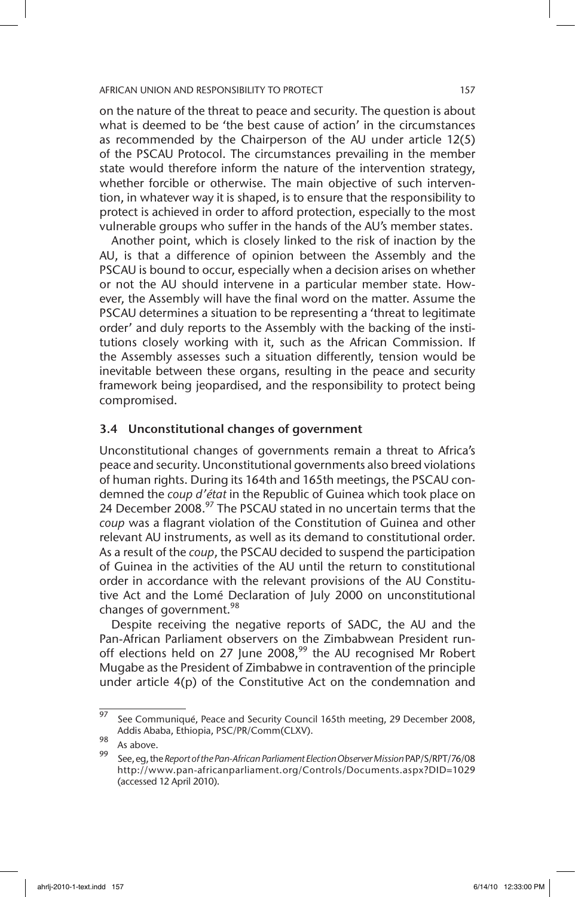on the nature of the threat to peace and security. The question is about what is deemed to be 'the best cause of action' in the circumstances as recommended by the Chairperson of the AU under article 12(5) of the PSCAU Protocol. The circumstances prevailing in the member state would therefore inform the nature of the intervention strategy, whether forcible or otherwise. The main objective of such intervention, in whatever way it is shaped, is to ensure that the responsibility to protect is achieved in order to afford protection, especially to the most vulnerable groups who suffer in the hands of the AU's member states.

Another point, which is closely linked to the risk of inaction by the AU, is that a difference of opinion between the Assembly and the PSCAU is bound to occur, especially when a decision arises on whether or not the AU should intervene in a particular member state. However, the Assembly will have the final word on the matter. Assume the PSCAU determines a situation to be representing a 'threat to legitimate order' and duly reports to the Assembly with the backing of the institutions closely working with it, such as the African Commission. If the Assembly assesses such a situation differently, tension would be inevitable between these organs, resulting in the peace and security framework being jeopardised, and the responsibility to protect being compromised.

# 3.4 Unconstitutional changes of government

Unconstitutional changes of governments remain a threat to Africa's peace and security. Unconstitutional governments also breed violations of human rights. During its 164th and 165th meetings, the PSCAU condemned the *coup d'état* in the Republic of Guinea which took place on 24 December  $2008.<sup>97</sup>$  The PSCAU stated in no uncertain terms that the *coup* was a flagrant violation of the Constitution of Guinea and other relevant AU instruments, as well as its demand to constitutional order. As a result of the *coup*, the PSCAU decided to suspend the participation of Guinea in the activities of the AU until the return to constitutional order in accordance with the relevant provisions of the AU Constitutive Act and the Lomé Declaration of July 2000 on unconstitutional changes of government.<sup>98</sup>

Despite receiving the negative reports of SADC, the AU and the Pan-African Parliament observers on the Zimbabwean President runoff elections held on 27 June 2008, $99$  the AU recognised Mr Robert Mugabe as the President of Zimbabwe in contravention of the principle under article 4(p) of the Constitutive Act on the condemnation and

 $\frac{97}{97}$  See Communiqué, Peace and Security Council 165th meeting, 29 December 2008, Addis Ababa, Ethiopia, PSC/PR/Comm(CLXV).

<sup>98</sup> As above.

<sup>99</sup> See, eg, the *Report of the Pan-African Parliament Election Observer Mission* PAP/S/RPT/76/08 http://www.pan-africanparliament.org/Controls/Documents.aspx?DID=1029 (accessed 12 April 2010).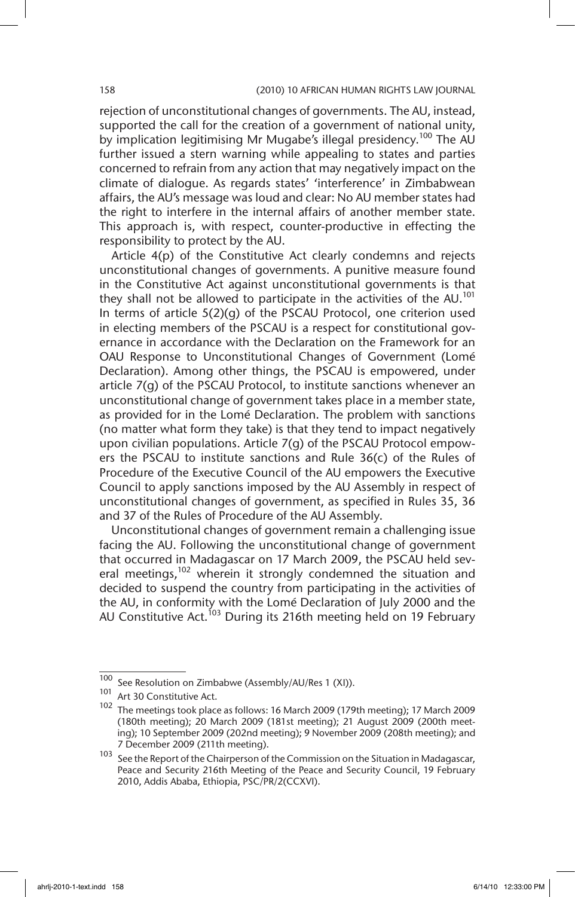rejection of unconstitutional changes of governments. The AU, instead, supported the call for the creation of a government of national unity, by implication legitimising Mr Mugabe's illegal presidency.<sup>100</sup> The AU further issued a stern warning while appealing to states and parties concerned to refrain from any action that may negatively impact on the climate of dialogue. As regards states' 'interference' in Zimbabwean affairs, the AU's message was loud and clear: No AU member states had the right to interfere in the internal affairs of another member state. This approach is, with respect, counter-productive in effecting the responsibility to protect by the AU.

Article 4(p) of the Constitutive Act clearly condemns and rejects unconstitutional changes of governments. A punitive measure found in the Constitutive Act against unconstitutional governments is that they shall not be allowed to participate in the activities of the  $AU<sup>101</sup>$ In terms of article 5(2)(g) of the PSCAU Protocol, one criterion used in electing members of the PSCAU is a respect for constitutional governance in accordance with the Declaration on the Framework for an OAU Response to Unconstitutional Changes of Government (Lomé Declaration). Among other things, the PSCAU is empowered, under article 7(g) of the PSCAU Protocol, to institute sanctions whenever an unconstitutional change of government takes place in a member state, as provided for in the Lomé Declaration. The problem with sanctions (no matter what form they take) is that they tend to impact negatively upon civilian populations. Article 7(g) of the PSCAU Protocol empowers the PSCAU to institute sanctions and Rule 36(c) of the Rules of Procedure of the Executive Council of the AU empowers the Executive Council to apply sanctions imposed by the AU Assembly in respect of unconstitutional changes of government, as specified in Rules 35, 36 and 37 of the Rules of Procedure of the AU Assembly.

Unconstitutional changes of government remain a challenging issue facing the AU. Following the unconstitutional change of government that occurred in Madagascar on 17 March 2009, the PSCAU held several meetings,<sup>102</sup> wherein it strongly condemned the situation and decided to suspend the country from participating in the activities of the AU, in conformity with the Lomé Declaration of July 2000 and the AU Constitutive Act.103 During its 216th meeting held on 19 February

<sup>100</sup> See Resolution on Zimbabwe (Assembly/AU/Res 1 (XI)).<br>101 Apr Constitution Act

Art 30 Constitutive Act.

<sup>102</sup> The meetings took place as follows: 16 March 2009 (179th meeting); 17 March 2009 (180th meeting); 20 March 2009 (181st meeting); 21 August 2009 (200th meeting); 10 September 2009 (202nd meeting); 9 November 2009 (208th meeting); and 7 December 2009 (211th meeting).

<sup>103</sup> See the Report of the Chairperson of the Commission on the Situation in Madagascar, Peace and Security 216th Meeting of the Peace and Security Council, 19 February 2010, Addis Ababa, Ethiopia, PSC/PR/2(CCXVI).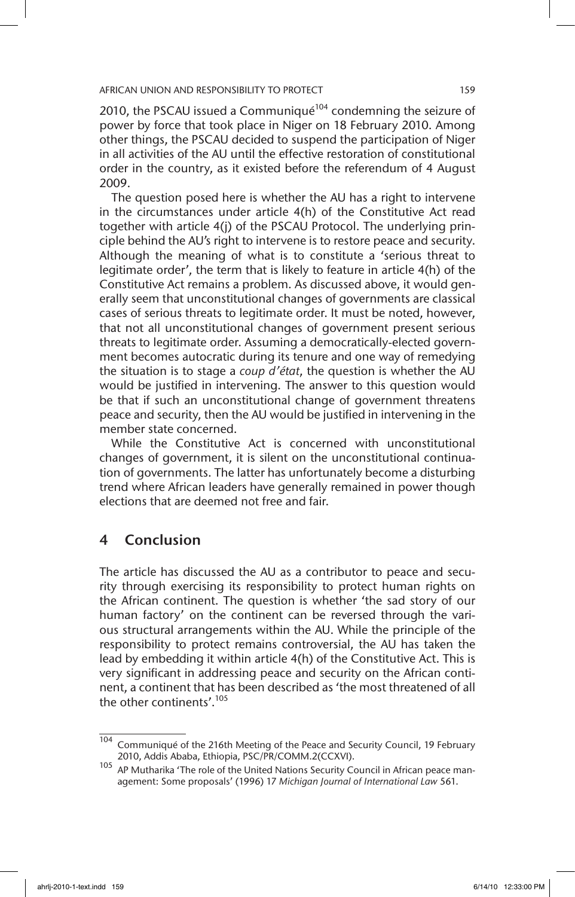2010, the PSCAU issued a Communiqué<sup>104</sup> condemning the seizure of power by force that took place in Niger on 18 February 2010. Among other things, the PSCAU decided to suspend the participation of Niger in all activities of the AU until the effective restoration of constitutional order in the country, as it existed before the referendum of 4 August 2009.

The question posed here is whether the AU has a right to intervene in the circumstances under article 4(h) of the Constitutive Act read together with article 4(j) of the PSCAU Protocol. The underlying principle behind the AU's right to intervene is to restore peace and security. Although the meaning of what is to constitute a 'serious threat to legitimate order', the term that is likely to feature in article 4(h) of the Constitutive Act remains a problem. As discussed above, it would generally seem that unconstitutional changes of governments are classical cases of serious threats to legitimate order. It must be noted, however, that not all unconstitutional changes of government present serious threats to legitimate order. Assuming a democratically-elected government becomes autocratic during its tenure and one way of remedying the situation is to stage a *coup d'état*, the question is whether the AU would be justified in intervening. The answer to this question would be that if such an unconstitutional change of government threatens peace and security, then the AU would be justified in intervening in the member state concerned.

While the Constitutive Act is concerned with unconstitutional changes of government, it is silent on the unconstitutional continuation of governments. The latter has unfortunately become a disturbing trend where African leaders have generally remained in power though elections that are deemed not free and fair.

# 4 Conclusion

The article has discussed the AU as a contributor to peace and security through exercising its responsibility to protect human rights on the African continent. The question is whether 'the sad story of our human factory' on the continent can be reversed through the various structural arrangements within the AU. While the principle of the responsibility to protect remains controversial, the AU has taken the lead by embedding it within article 4(h) of the Constitutive Act. This is very significant in addressing peace and security on the African continent, a continent that has been described as 'the most threatened of all the other continents'.<sup>105</sup>

 $\frac{104}{104}$  Communiqué of the 216th Meeting of the Peace and Security Council, 19 February 2010, Addis Ababa, Ethiopia, PSC/PR/COMM.2(CCXVI).

<sup>105</sup> AP Mutharika 'The role of the United Nations Security Council in African peace management: Some proposals' (1996) 17 *Michigan Journal of International Law* 561.